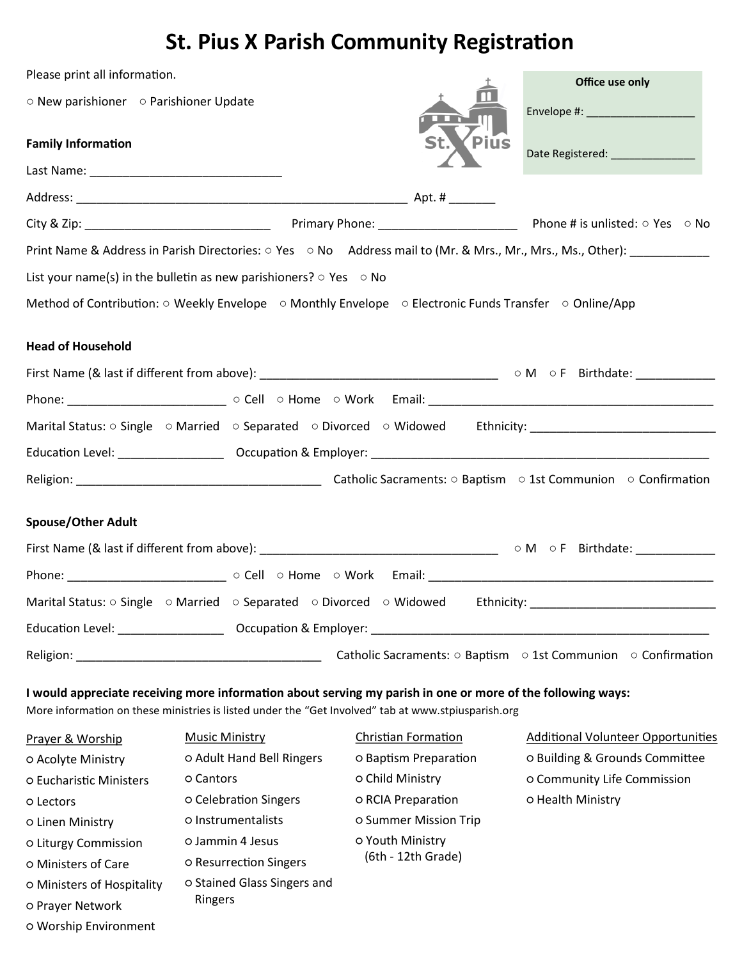## **St. Pius X Parish Community Registration**

| Please print all information.          |                                                                               |                                                                                                                                                                                                                    | Office use only                                                                                                        |  |
|----------------------------------------|-------------------------------------------------------------------------------|--------------------------------------------------------------------------------------------------------------------------------------------------------------------------------------------------------------------|------------------------------------------------------------------------------------------------------------------------|--|
| ○ New parishioner ○ Parishioner Update |                                                                               |                                                                                                                                                                                                                    | Envelope #: _____________________                                                                                      |  |
| <b>Family Information</b>              |                                                                               | <b>Pius</b>                                                                                                                                                                                                        | Date Registered: ________________                                                                                      |  |
|                                        |                                                                               |                                                                                                                                                                                                                    |                                                                                                                        |  |
|                                        |                                                                               |                                                                                                                                                                                                                    |                                                                                                                        |  |
|                                        |                                                                               |                                                                                                                                                                                                                    |                                                                                                                        |  |
|                                        |                                                                               |                                                                                                                                                                                                                    | Print Name & Address in Parish Directories: ○ Yes ○ No Address mail to (Mr. & Mrs., Mr., Mrs., Ms., Other): __________ |  |
|                                        | List your name(s) in the bulletin as new parishioners? $\circ$ Yes $\circ$ No |                                                                                                                                                                                                                    |                                                                                                                        |  |
|                                        |                                                                               | Method of Contribution: $\circ$ Weekly Envelope $\circ$ Monthly Envelope $\circ$ Electronic Funds Transfer $\circ$ Online/App                                                                                      |                                                                                                                        |  |
| <b>Head of Household</b>               |                                                                               |                                                                                                                                                                                                                    |                                                                                                                        |  |
|                                        |                                                                               |                                                                                                                                                                                                                    |                                                                                                                        |  |
|                                        |                                                                               |                                                                                                                                                                                                                    |                                                                                                                        |  |
|                                        |                                                                               |                                                                                                                                                                                                                    | Marital Status: O Single O Married O Separated O Divorced O Widowed Ethnicity: [100] Ethnicity:                        |  |
|                                        |                                                                               |                                                                                                                                                                                                                    |                                                                                                                        |  |
|                                        |                                                                               |                                                                                                                                                                                                                    |                                                                                                                        |  |
| <b>Spouse/Other Adult</b>              |                                                                               |                                                                                                                                                                                                                    |                                                                                                                        |  |
|                                        |                                                                               |                                                                                                                                                                                                                    |                                                                                                                        |  |
|                                        |                                                                               |                                                                                                                                                                                                                    | Marital Status: O Single O Married O Separated O Divorced O Widowed Ethnicity: ___________________________             |  |
|                                        |                                                                               |                                                                                                                                                                                                                    |                                                                                                                        |  |
|                                        |                                                                               |                                                                                                                                                                                                                    | Catholic Sacraments: $\circ$ Baptism $\circ$ 1st Communion $\circ$ Confirmation                                        |  |
|                                        |                                                                               | I would appreciate receiving more information about serving my parish in one or more of the following ways:<br>More information on these ministries is listed under the "Get Involved" tab at www.stpiusparish.org |                                                                                                                        |  |
| Prayer & Worship                       | <b>Music Ministry</b>                                                         | <b>Christian Formation</b>                                                                                                                                                                                         | <b>Additional Volunteer Opportunities</b><br>o Building & Grounds Committee                                            |  |
| o Acolyte Ministry                     | o Adult Hand Bell Ringers                                                     | <b>O Baptism Preparation</b>                                                                                                                                                                                       |                                                                                                                        |  |
| O Eucharistic Ministers                | o Cantors                                                                     | o Child Ministry                                                                                                                                                                                                   | o Community Life Commission                                                                                            |  |
| o Lectors                              | o Celebration Singers                                                         | o RCIA Preparation                                                                                                                                                                                                 | o Health Ministry                                                                                                      |  |
| o Linen Ministry                       | o Instrumentalists                                                            | <b>O Summer Mission Trip</b>                                                                                                                                                                                       |                                                                                                                        |  |
| o Liturgy Commission                   | o Jammin 4 Jesus                                                              | o Youth Ministry<br>(6th - 12th Grade)                                                                                                                                                                             |                                                                                                                        |  |
| o Ministers of Care                    | o Resurrection Singers                                                        |                                                                                                                                                                                                                    |                                                                                                                        |  |
| O Ministers of Hospitality             | o Stained Glass Singers and<br>Ringers                                        |                                                                                                                                                                                                                    |                                                                                                                        |  |
| o Prayer Network                       |                                                                               |                                                                                                                                                                                                                    |                                                                                                                        |  |
| o Worship Environment                  |                                                                               |                                                                                                                                                                                                                    |                                                                                                                        |  |